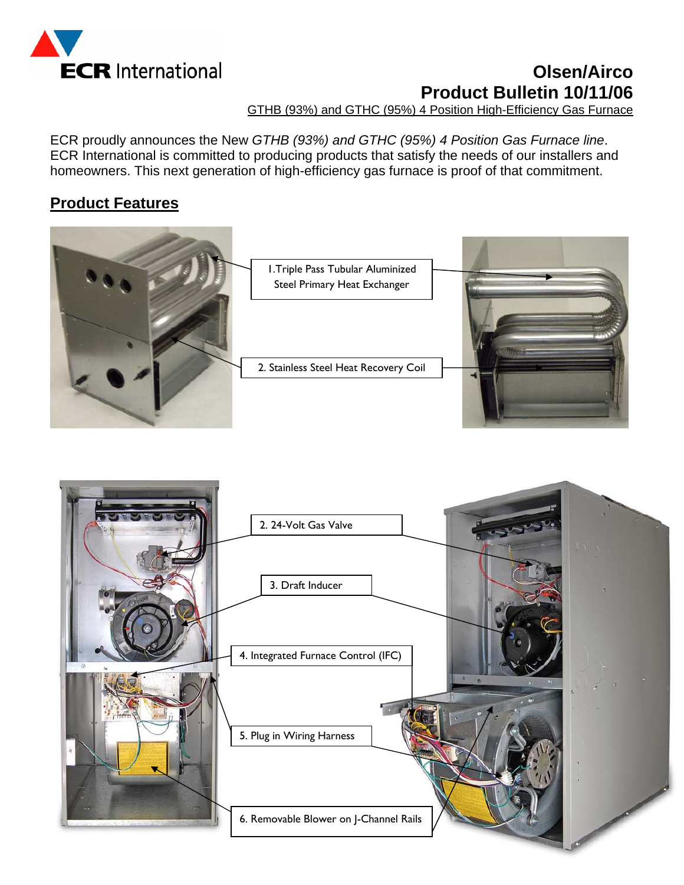

# **Olsen/Airco Product Bulletin 10/11/06**

GTHB (93%) and GTHC (95%) 4 Position High-Efficiency Gas Furnace

ECR proudly announces the New *GTHB (93%) and GTHC (95%) 4 Position Gas Furnace line*. ECR International is committed to producing products that satisfy the needs of our installers and homeowners. This next generation of high-efficiency gas furnace is proof of that commitment.

### **Product Features**



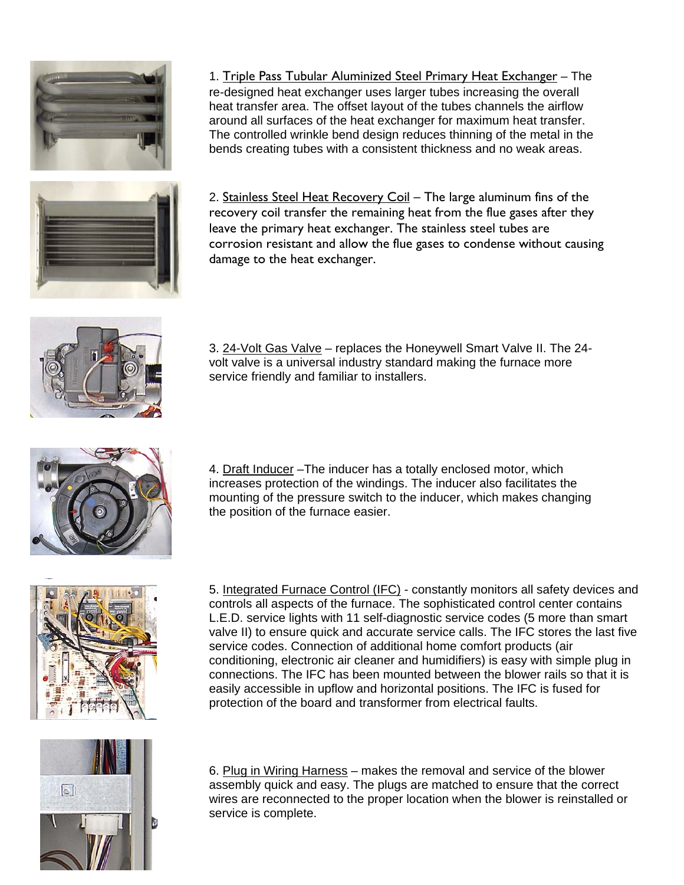

1. Triple Pass Tubular Aluminized Steel Primary Heat Exchanger - The re-designed heat exchanger uses larger tubes increasing the overall heat transfer area. The offset layout of the tubes channels the airflow around all surfaces of the heat exchanger for maximum heat transfer. The controlled wrinkle bend design reduces thinning of the metal in the bends creating tubes with a consistent thickness and no weak areas.

2. Stainless Steel Heat Recovery Coil - The large aluminum fins of the recovery coil transfer the remaining heat from the flue gases after they leave the primary heat exchanger. The stainless steel tubes are corrosion resistant and allow the flue gases to condense without causing damage to the heat exchanger.



3. 24-Volt Gas Valve – replaces the Honeywell Smart Valve II. The 24volt valve is a universal industry standard making the furnace more service friendly and familiar to installers.



4. Draft Inducer –The inducer has a totally enclosed motor, which increases protection of the windings. The inducer also facilitates the mounting of the pressure switch to the inducer, which makes changing the position of the furnace easier.



5. Integrated Furnace Control (IFC) - constantly monitors all safety devices and controls all aspects of the furnace. The sophisticated control center contains L.E.D. service lights with 11 self-diagnostic service codes (5 more than smart valve II) to ensure quick and accurate service calls. The IFC stores the last five service codes. Connection of additional home comfort products (air conditioning, electronic air cleaner and humidifiers) is easy with simple plug in connections. The IFC has been mounted between the blower rails so that it is easily accessible in upflow and horizontal positions. The IFC is fused for protection of the board and transformer from electrical faults.



6. Plug in Wiring Harness – makes the removal and service of the blower assembly quick and easy. The plugs are matched to ensure that the correct wires are reconnected to the proper location when the blower is reinstalled or service is complete.